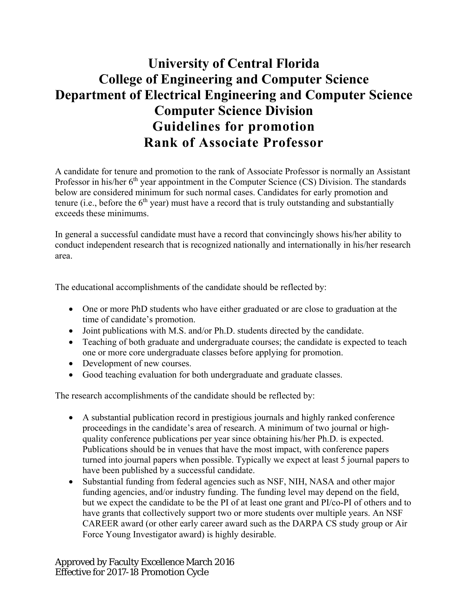## **University of Central Florida College of Engineering and Computer Science Department of Electrical Engineering and Computer Science Computer Science Division Guidelines for promotion Rank of Associate Professor**

A candidate for tenure and promotion to the rank of Associate Professor is normally an Assistant Professor in his/her  $6<sup>th</sup>$  year appointment in the Computer Science (CS) Division. The standards below are considered minimum for such normal cases. Candidates for early promotion and tenure (i.e., before the  $6<sup>th</sup>$  year) must have a record that is truly outstanding and substantially exceeds these minimums.

In general a successful candidate must have a record that convincingly shows his/her ability to conduct independent research that is recognized nationally and internationally in his/her research area.

The educational accomplishments of the candidate should be reflected by:

- One or more PhD students who have either graduated or are close to graduation at the time of candidate's promotion.
- Joint publications with M.S. and/or Ph.D. students directed by the candidate.
- Teaching of both graduate and undergraduate courses; the candidate is expected to teach one or more core undergraduate classes before applying for promotion.
- Development of new courses.
- Good teaching evaluation for both undergraduate and graduate classes.

The research accomplishments of the candidate should be reflected by:

- A substantial publication record in prestigious journals and highly ranked conference proceedings in the candidate's area of research. A minimum of two journal or highquality conference publications per year since obtaining his/her Ph.D. is expected. Publications should be in venues that have the most impact, with conference papers turned into journal papers when possible. Typically we expect at least 5 journal papers to have been published by a successful candidate.
- Substantial funding from federal agencies such as NSF, NIH, NASA and other major funding agencies, and/or industry funding. The funding level may depend on the field, but we expect the candidate to be the PI of at least one grant and PI/co-PI of others and to have grants that collectively support two or more students over multiple years. An NSF CAREER award (or other early career award such as the DARPA CS study group or Air Force Young Investigator award) is highly desirable.

Approved by Faculty Excellence March 2016 Effective for 2017-18 Promotion Cycle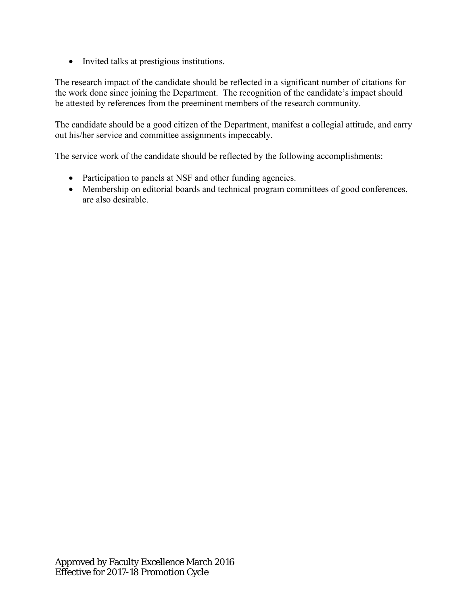• Invited talks at prestigious institutions.

The research impact of the candidate should be reflected in a significant number of citations for the work done since joining the Department. The recognition of the candidate's impact should be attested by references from the preeminent members of the research community.

The candidate should be a good citizen of the Department, manifest a collegial attitude, and carry out his/her service and committee assignments impeccably.

The service work of the candidate should be reflected by the following accomplishments:

- Participation to panels at NSF and other funding agencies.
- Membership on editorial boards and technical program committees of good conferences, are also desirable.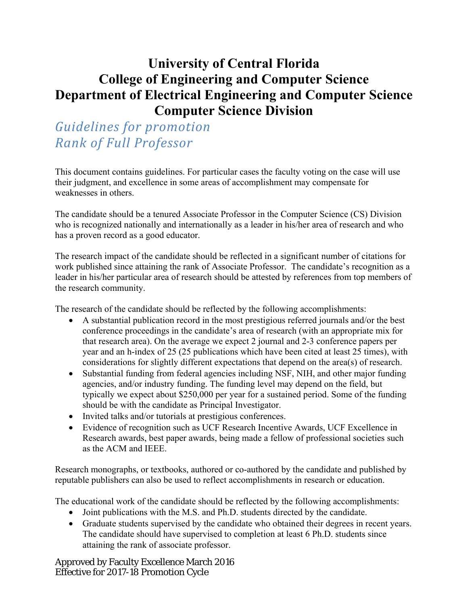## **University of Central Florida College of Engineering and Computer Science Department of Electrical Engineering and Computer Science Computer Science Division**

*Guidelines for promotion Rank of Full Professor*

This document contains guidelines. For particular cases the faculty voting on the case will use their judgment, and excellence in some areas of accomplishment may compensate for weaknesses in others.

The candidate should be a tenured Associate Professor in the Computer Science (CS) Division who is recognized nationally and internationally as a leader in his/her area of research and who has a proven record as a good educator.

The research impact of the candidate should be reflected in a significant number of citations for work published since attaining the rank of Associate Professor. The candidate's recognition as a leader in his/her particular area of research should be attested by references from top members of the research community.

The research of the candidate should be reflected by the following accomplishments:

- A substantial publication record in the most prestigious referred journals and/or the best conference proceedings in the candidate's area of research (with an appropriate mix for that research area). On the average we expect 2 journal and 2-3 conference papers per year and an h-index of 25 (25 publications which have been cited at least 25 times), with considerations for slightly different expectations that depend on the area(s) of research.
- Substantial funding from federal agencies including NSF, NIH, and other major funding agencies, and/or industry funding. The funding level may depend on the field, but typically we expect about \$250,000 per year for a sustained period. Some of the funding should be with the candidate as Principal Investigator.
- Invited talks and/or tutorials at prestigious conferences.
- Evidence of recognition such as UCF Research Incentive Awards, UCF Excellence in Research awards, best paper awards, being made a fellow of professional societies such as the ACM and IEEE.

Research monographs, or textbooks, authored or co-authored by the candidate and published by reputable publishers can also be used to reflect accomplishments in research or education.

The educational work of the candidate should be reflected by the following accomplishments:

- Joint publications with the M.S. and Ph.D. students directed by the candidate.
- Graduate students supervised by the candidate who obtained their degrees in recent years. The candidate should have supervised to completion at least 6 Ph.D. students since attaining the rank of associate professor.

Approved by Faculty Excellence March 2016 Effective for 2017-18 Promotion Cycle